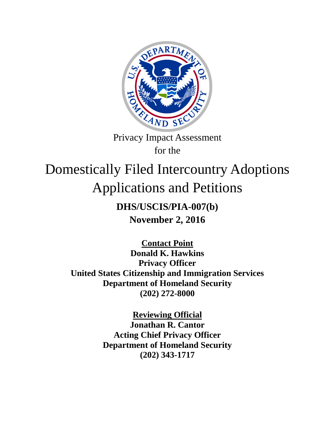

Privacy Impact Assessment for the

# Domestically Filed Intercountry Adoptions Applications and Petitions

# **DHS/USCIS/PIA-007(b) November 2, 2016**

**Contact Point Donald K. Hawkins Privacy Officer United States Citizenship and Immigration Services Department of Homeland Security (202) 272-8000** 

> **Reviewing Official Jonathan R. Cantor Acting Chief Privacy Officer Department of Homeland Security (202) 343-1717**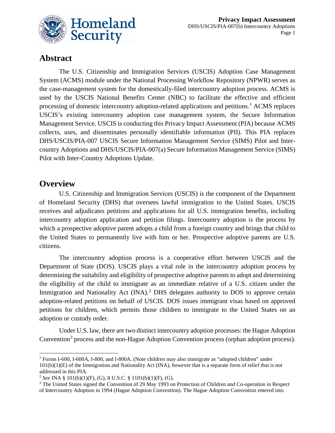

# **Abstract**

The U.S. Citizenship and Immigration Services (USCIS) Adoption Case Management System (ACMS) module under the National Processing Workflow Repository (NPWR) serves as the case-management system for the domestically-filed intercountry adoption process. ACMS is used by the USCIS National Benefits Center (NBC) to facilitate the effective and efficient processing of domestic intercountry adoption-related applications and petitions.<sup>[1](#page-1-0)</sup> ACMS replaces USCIS's existing intercountry adoption case management system, the Secure Information Management Service. USCIS is conducting this Privacy Impact Assessment (PIA) because ACMS collects, uses, and disseminates personally identifiable information (PII). This PIA replaces DHS/USCIS/PIA-007 USCIS Secure Information Management Service (SIMS) Pilot and Intercountry Adoptions and DHS/USCIS/PIA-007(a) Secure Information Management Service (SIMS) Pilot with Inter-Country Adoptions Update.

### **Overview**

 $\overline{a}$ 

U.S. Citizenship and Immigration Services (USCIS) is the component of the Department of Homeland Security (DHS) that oversees lawful immigration to the United States. USCIS receives and adjudicates petitions and applications for all U.S. immigration benefits, including intercountry adoption application and petition filings. Intercountry adoption is the process by which a prospective adoptive parent adopts a child from a foreign country and brings that child to the United States to permanently live with him or her. Prospective adoptive parents are U.S. citizens.

The intercountry adoption process is a cooperative effort between USCIS and the Department of State (DOS). USCIS plays a vital role in the intercountry adoption process by determining the suitability and eligibility of prospective adoptive parents to adopt and determining the eligibility of the child to immigrate as an immediate relative of a U.S. citizen under the Immigration and Nationality Act (INA).<sup>[2](#page-1-1)</sup> DHS delegates authority to DOS to approve certain adoption-related petitions on behalf of USCIS. DOS issues immigrant visas based on approved petitions for children, which permits those children to immigrate to the United States on an adoption or custody order.

Under U.S. law, there are two distinct intercountry adoption processes: the Hague Adoption Convention<sup>[3](#page-1-2)</sup> process and the non-Hague Adoption Convention process (orphan adoption process).

<span id="page-1-0"></span><sup>1</sup> Forms I-600, I-600A, I-800, and I-800A. (Note children may also immigrate as "adopted children" under 101(b)(1)(E) of the Immigration and Nationality Act (INA), however that is a separate form of relief that is not addressed in this PIA.

<span id="page-1-1"></span><sup>2</sup> *See* INA § 101(b)(1)(F), (G), 8 U.S.C. § 1101(b)(1)(F), (G).

<span id="page-1-2"></span><sup>&</sup>lt;sup>3</sup> The United States signed the Convention of 29 May 1993 on Protection of Children and Co-operation in Respect of Intercountry Adoption in 1994 (Hague Adoption Convention). The Hague Adoption Convention entered into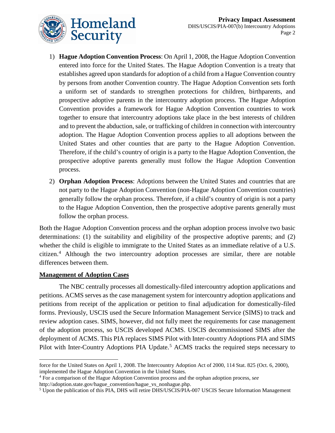- 1) **Hague Adoption Convention Process**: On April 1, 2008, the Hague Adoption Convention entered into force for the United States. The Hague Adoption Convention is a treaty that establishes agreed upon standards for adoption of a child from a Hague Convention country by persons from another Convention country. The Hague Adoption Convention sets forth a uniform set of standards to strengthen protections for children, birthparents, and prospective adoptive parents in the intercountry adoption process. The Hague Adoption Convention provides a framework for Hague Adoption Convention countries to work together to ensure that intercountry adoptions take place in the best interests of children and to prevent the abduction, sale, or trafficking of children in connection with intercountry adoption. The Hague Adoption Convention process applies to all adoptions between the United States and other counties that are party to the Hague Adoption Convention. Therefore, if the child's country of origin is a party to the Hague Adoption Convention, the prospective adoptive parents generally must follow the Hague Adoption Convention process.
- 2) **Orphan Adoption Process**: Adoptions between the United States and countries that are not party to the Hague Adoption Convention (non-Hague Adoption Convention countries) generally follow the orphan process. Therefore, if a child's country of origin is not a party to the Hague Adoption Convention, then the prospective adoptive parents generally must follow the orphan process.

Both the Hague Adoption Convention process and the orphan adoption process involve two basic determinations: (1) the suitability and eligibility of the prospective adoptive parents; and (2) whether the child is eligible to immigrate to the United States as an immediate relative of a U.S. citizen.[4](#page-2-0) Although the two intercountry adoption processes are similar, there are notable differences between them.

#### **Management of Adoption Cases**

The NBC centrally processes all domestically-filed intercountry adoption applications and petitions. ACMS serves as the case management system for intercountry adoption applications and petitions from receipt of the application or petition to final adjudication for domestically-filed forms. Previously, USCIS used the Secure Information Management Service (SIMS) to track and review adoption cases. SIMS, however, did not fully meet the requirements for case management of the adoption process, so USCIS developed ACMS. USCIS decommissioned SIMS after the deployment of ACMS. This PIA replaces SIMS Pilot with Inter-country Adoptions PIA and SIMS Pilot with Inter-Country Adoptions PIA Update.<sup>[5](#page-2-1)</sup> ACMS tracks the required steps necessary to

 $\overline{a}$ force for the United States on April 1, 2008. The Intercountry Adoption Act of 2000, 114 Stat. 825 (Oct. 6, 2000), implemented the Hague Adoption Convention in the United States.

<span id="page-2-0"></span><sup>4</sup> For a comparison of the Hague Adoption Convention process and the orphan adoption process, *see*

<span id="page-2-1"></span>[http://adoption.state.gov/hague\\_convention/hague\\_vs\\_nonhague.php.](http://adoption.state.gov/hague_convention/hague_vs_nonhague.php)<br><sup>[5](http://adoption.state.gov/hague_convention/hague_vs_nonhague.php)</sup> Upon the publication of this PIA, DHS will retire DHS/USCIS/PIA-007 USCIS Secure Information Management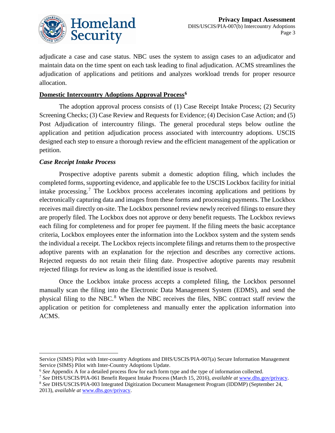

adjudicate a case and case status. NBC uses the system to assign cases to an adjudicator and maintain data on the time spent on each task leading to final adjudication. ACMS streamlines the adjudication of applications and petitions and analyzes workload trends for proper resource allocation.

#### **Domestic Intercountry Adoptions Approval Process[6](#page-3-0)**

The adoption approval process consists of (1) Case Receipt Intake Process; (2) Security Screening Checks; (3) Case Review and Requests for Evidence; (4) Decision Case Action; and (5) Post Adjudication of intercountry filings. The general procedural steps below outline the application and petition adjudication process associated with intercountry adoptions. USCIS designed each step to ensure a thorough review and the efficient management of the application or petition.

#### *Case Receipt Intake Process*

 $\overline{a}$ 

Prospective adoptive parents submit a domestic adoption filing, which includes the completed forms, supporting evidence, and applicable fee to the USCIS Lockbox facility for initial intake processing.[7](#page-3-1) The Lockbox process accelerates incoming applications and petitions by electronically capturing data and images from these forms and processing payments. The Lockbox receives mail directly on-site. The Lockbox personnel review newly received filings to ensure they are properly filed. The Lockbox does not approve or deny benefit requests. The Lockbox reviews each filing for completeness and for proper fee payment. If the filing meets the basic acceptance criteria, Lockbox employees enter the information into the Lockbox system and the system sends the individual a receipt. The Lockbox rejects incomplete filings and returns them to the prospective adoptive parents with an explanation for the rejection and describes any corrective actions. Rejected requests do not retain their filing date. Prospective adoptive parents may resubmit rejected filings for review as long as the identified issue is resolved.

Once the Lockbox intake process accepts a completed filing, the Lockbox personnel manually scan the filing into the Electronic Data Management System (EDMS), and send the physical filing to the NBC.<sup>[8](#page-3-2)</sup> When the NBC receives the files, NBC contract staff review the application or petition for completeness and manually enter the application information into ACMS.

Service (SIMS) Pilot with Inter-country Adoptions and DHS/USCIS/PIA-007(a) Secure Information Management Service (SIMS) Pilot with Inter-Country Adoptions Update.

<sup>6</sup> *See* Appendix A for a detailed process flow for each form type and the type of information collected.

<span id="page-3-2"></span><span id="page-3-1"></span><span id="page-3-0"></span><sup>&</sup>lt;sup>7</sup> See DHS/USCIS/PIA-061 Benefit Request Intake Process (March 15, 2016), *available at* [www.dhs.gov/privacy.](http://www.dhs.gov/privacy)<br><sup>8</sup> See DHS/USCIS/PIA-003 Integrated Digitization Document Management Program (IDDMP) (September 24,

<sup>2013),</sup> *available at* [www.dhs.gov/privacy.](http://www.dhs.gov/privacy)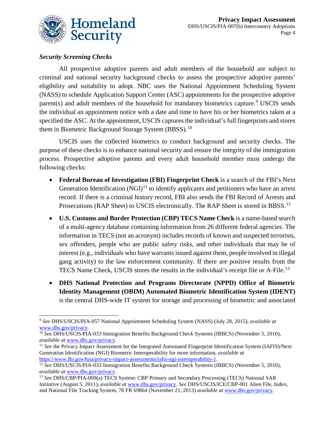

### *Security Screening Checks*

All prospective adoptive parents and adult members of the household are subject to criminal and national security background checks to assess the prospective adoptive parents' eligibility and suitability to adopt. NBC uses the National Appointment Scheduling System (NASS) to schedule Application Support Center (ASC) appointments for the prospective adoptive parent(s) and adult members of the household for mandatory biometrics capture.<sup>[9](#page-4-0)</sup> USCIS sends the individual an appointment notice with a date and time to have his or her biometrics taken at a specified the ASC. At the appointment, USCIS captures the individual's full fingerprints and stores them in Biometric Background Storage System  $(BBSS)$ .<sup>[10](#page-4-1)</sup>

USCIS uses the collected biometrics to conduct background and security checks. The purpose of these checks is to enhance national security and ensure the integrity of the immigration process. Prospective adoptive parents and every adult household member must undergo the following checks:

- **Federal Bureau of Investigation (FBI) Fingerprint Check** is a search of the FBI's Next Generation Identification  $(NGI)^{11}$  $(NGI)^{11}$  $(NGI)^{11}$  to identify applicants and petitioners who have an arrest record. If there is a criminal history record, FBI also sends the FBI Record of Arrests and Prosecutions (RAP Sheet) to USCIS electronically. The RAP Sheet is stored in BBSS.<sup>[12](#page-4-3)</sup>
- **U.S. Customs and Border Protection (CBP) TECS Name Check** is a name-based search of a multi-agency database containing information from 26 different federal agencies. The information in TECS (not an acronym) includes records of known and suspected terrorists, sex offenders, people who are public safety risks, and other individuals that may be of interest (e.g., individuals who have warrants issued against them, people involved in illegal gang activity) to the law enforcement community. If there are positive results from the TECS Name Check, USCIS stores the results in the individual's receipt file or A-File.<sup>[13](#page-4-4)</sup>
- **DHS National Protection and Programs Directorate (NPPD) Office of Biometric Identity Management (OBIM) Automated Biometric Identification System (IDENT)** is the central DHS-wide IT system for storage and processing of biometric and associated

<span id="page-4-0"></span> $\overline{a}$ <sup>9</sup> *See* DHS/USCIS/PIA-057 National Appointment Scheduling System (NASS) (July 28, 2015), *available at*

<span id="page-4-1"></span>www.dhs.gov/privacy.<br><sup>10</sup> *See* DHS/USCIS/PIA-033 Immigration Benefits Background Check Systems (IBBCS) (November 5, 2010), *available at www.dhs.gov/privacy.* 

<span id="page-4-2"></span><sup>&</sup>lt;sup>11</sup> See the Privacy Impact Assessment for the Integrated Automated Fingerprint Identification System (IAFIS)/Next Generation Identification (NGI) Biometric Interoperability for more information, *available at*  [https://www.fbi.gov/foia/privacy-impact-assessments/iafis-ngi-interoperability-1.](https://www.fbi.gov/foia/privacy-impact-assessments/iafis-ngi-interoperability-1)

<span id="page-4-3"></span><sup>12</sup> *See* DHS/USCIS/PIA-033 Immigration Benefits Background Check Systems (IBBCS) (November 5, 2010), *available at* www.dhs.gov/privacy.<br><sup>13</sup> *See* DHS/CBP/PIA-009(a) TECS System: CBP Primary and Secondary Processing (TECS) National SAR

<span id="page-4-4"></span>Initiative (August 5, 2011), *available at* [www.dhs.gov/privacy.](http://www.dhs.gov/privacy) *See* DHS/USCIS/ICE/CBP-001 Alien File, Index, and National File Tracking System, 78 FR 69864 (November 21, 2013) *available at* [www.dhs.gov/privacy.](http://www.dhs.gov/privacy)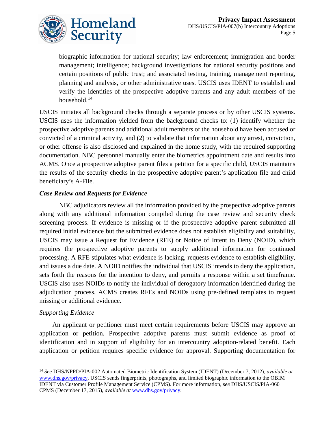

biographic information for national security; law enforcement; immigration and border management; intelligence; background investigations for national security positions and certain positions of public trust; and associated testing, training, management reporting, planning and analysis, or other administrative uses. USCIS uses IDENT to establish and verify the identities of the prospective adoptive parents and any adult members of the household. $14$ 

USCIS initiates all background checks through a separate process or by other USCIS systems. USCIS uses the information yielded from the background checks to: (1) identify whether the prospective adoptive parents and additional adult members of the household have been accused or convicted of a criminal activity, and (2) to validate that information about any arrest, conviction, or other offense is also disclosed and explained in the home study, with the required supporting documentation. NBC personnel manually enter the biometrics appointment date and results into ACMS. Once a prospective adoptive parent files a petition for a specific child, USCIS maintains the results of the security checks in the prospective adoptive parent's application file and child beneficiary's A-File.

#### *Case Review and Requests for Evidence*

NBC adjudicators review all the information provided by the prospective adoptive parents along with any additional information compiled during the case review and security check screening process. If evidence is missing or if the prospective adoptive parent submitted all required initial evidence but the submitted evidence does not establish eligibility and suitability, USCIS may issue a Request for Evidence (RFE) or Notice of Intent to Deny (NOID), which requires the prospective adoptive parents to supply additional information for continued processing. A RFE stipulates what evidence is lacking, requests evidence to establish eligibility, and issues a due date. A NOID notifies the individual that USCIS intends to deny the application, sets forth the reasons for the intention to deny, and permits a response within a set timeframe. USCIS also uses NOIDs to notify the individual of derogatory information identified during the adjudication process. ACMS creates RFEs and NOIDs using pre-defined templates to request missing or additional evidence.

#### *Supporting Evidence*

 $\overline{a}$ 

An applicant or petitioner must meet certain requirements before USCIS may approve an application or petition. Prospective adoptive parents must submit evidence as proof of identification and in support of eligibility for an intercountry adoption-related benefit. Each application or petition requires specific evidence for approval. Supporting documentation for

<span id="page-5-0"></span><sup>14</sup> *See* DHS/NPPD/PIA-002 Automated Biometric Identification System (IDENT) (December 7, 2012), *available at* [www.dhs.gov/privacy.](http://www.dhs.gov/privacy) USCIS sends fingerprints, photographs, and limited biographic information to the OBIM IDENT via Customer Profile Management Service (CPMS). For more information, s*ee* DHS/USCIS/PIA-060 CPMS (December 17, 2015), *available at* [www.dhs.gov/privacy.](http://www.dhs.gov/privacy)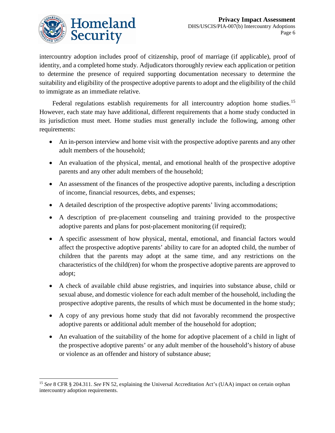

intercountry adoption includes proof of citizenship, proof of marriage (if applicable), proof of identity, and a completed home study. Adjudicators thoroughly review each application or petition to determine the presence of required supporting documentation necessary to determine the suitability and eligibility of the prospective adoptive parents to adopt and the eligibility of the child to immigrate as an immediate relative.

Federal regulations establish requirements for all intercountry adoption home studies.<sup>[15](#page-6-0)</sup> However, each state may have additional, different requirements that a home study conducted in its jurisdiction must meet. Home studies must generally include the following, among other requirements:

- An in-person interview and home visit with the prospective adoptive parents and any other adult members of the household;
- An evaluation of the physical, mental, and emotional health of the prospective adoptive parents and any other adult members of the household;
- An assessment of the finances of the prospective adoptive parents, including a description of income, financial resources, debts, and expenses;
- A detailed description of the prospective adoptive parents' living accommodations;
- A description of pre-placement counseling and training provided to the prospective adoptive parents and plans for post-placement monitoring (if required);
- A specific assessment of how physical, mental, emotional, and financial factors would affect the prospective adoptive parents' ability to care for an adopted child, the number of children that the parents may adopt at the same time, and any restrictions on the characteristics of the child(ren) for whom the prospective adoptive parents are approved to adopt;
- A check of available child abuse registries, and inquiries into substance abuse, child or sexual abuse, and domestic violence for each adult member of the household, including the prospective adoptive parents, the results of which must be documented in the home study;
- A copy of any previous home study that did not favorably recommend the prospective adoptive parents or additional adult member of the household for adoption;
- An evaluation of the suitability of the home for adoptive placement of a child in light of the prospective adoptive parents' or any adult member of the household's history of abuse or violence as an offender and history of substance abuse;

<span id="page-6-0"></span> $\overline{a}$ <sup>15</sup> *See* 8 CFR § 204.311. *See* FN 52, explaining the Universal Accreditation Act's (UAA) impact on certain orphan intercountry adoption requirements.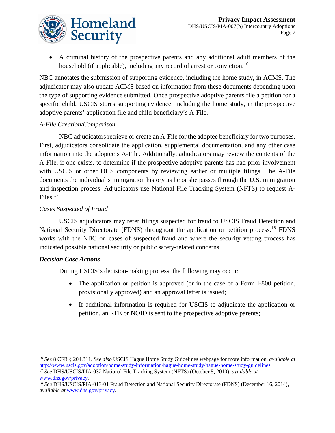

• A criminal history of the prospective parents and any additional adult members of the household (if applicable), including any record of arrest or conviction.<sup>[16](#page-7-0)</sup>

NBC annotates the submission of supporting evidence, including the home study, in ACMS. The adjudicator may also update ACMS based on information from these documents depending upon the type of supporting evidence submitted. Once prospective adoptive parents file a petition for a specific child, USCIS stores supporting evidence, including the home study, in the prospective adoptive parents' application file and child beneficiary's A-File.

### *A-File Creation/Comparison*

NBC adjudicators retrieve or create an A-File for the adoptee beneficiary for two purposes. First, adjudicators consolidate the application, supplemental documentation, and any other case information into the adoptee's A-File. Additionally, adjudicators may review the contents of the A-File, if one exists, to determine if the prospective adoptive parents has had prior involvement with USCIS or other DHS components by reviewing earlier or multiple filings. The A-File documents the individual's immigration history as he or she passes through the U.S. immigration and inspection process. Adjudicators use National File Tracking System (NFTS) to request A-Files. $17$ 

### *Cases Suspected of Fraud*

USCIS adjudicators may refer filings suspected for fraud to USCIS Fraud Detection and National Security Directorate (FDNS) throughout the application or petition process.<sup>[18](#page-7-2)</sup> FDNS works with the NBC on cases of suspected fraud and where the security vetting process has indicated possible national security or public safety-related concerns.

#### *Decision Case Actions*

During USCIS's decision-making process, the following may occur:

- The application or petition is approved (or in the case of a Form I-800 petition, provisionally approved) and an approval letter is issued;
- If additional information is required for USCIS to adjudicate the application or petition, an RFE or NOID is sent to the prospective adoptive parents;

<span id="page-7-0"></span> $\overline{a}$ <sup>16</sup> *See* 8 CFR § 204.311. *See also* USCIS Hague Home Study Guidelines webpage for more information, *available at* [http://www.uscis.gov/adoption/home-study-information/hague-home-study/hague-home-study-guidelines.](http://www.uscis.gov/adoption/home-study-information/hague-home-study/hague-home-study-guidelines) 17 *See* DHS/USCIS/PIA-032 National File Tracking System (NFTS) (October 5, 2010), *available at* 

<span id="page-7-1"></span>[www.dhs.gov/privacy.](http://www.dhs.gov/privacy) 18 *See* DHS/USCIS/PIA-013-01 Fraud Detection and National Security Directorate (FDNS) (December 16, 2014),

<span id="page-7-2"></span>*available at* [www.dhs.gov/privacy.](http://www.dhs.gov/privacy)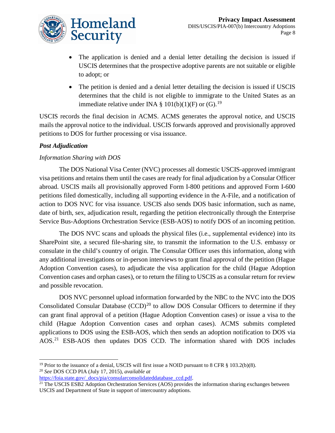

- The application is denied and a denial letter detailing the decision is issued if USCIS determines that the prospective adoptive parents are not suitable or eligible to adopt; or
- The petition is denied and a denial letter detailing the decision is issued if USCIS determines that the child is not eligible to immigrate to the United States as an immediate relative under INA § 101(b)(1)(F) or (G).<sup>[19](#page-8-0)</sup>

USCIS records the final decision in ACMS. ACMS generates the approval notice, and USCIS mails the approval notice to the individual. USCIS forwards approved and provisionally approved petitions to DOS for further processing or visa issuance.

#### *Post Adjudication*

#### *Information Sharing with DOS*

The DOS National Visa Center (NVC) processes all domestic USCIS-approved immigrant visa petitions and retains them until the cases are ready for final adjudication by a Consular Officer abroad. USCIS mails all provisionally approved Form I-800 petitions and approved Form I-600 petitions filed domestically, including all supporting evidence in the A-File, and a notification of action to DOS NVC for visa issuance. USCIS also sends DOS basic information, such as name, date of birth, sex, adjudication result, regarding the petition electronically through the Enterprise Service Bus-Adoptions Orchestration Service (ESB-AOS) to notify DOS of an incoming petition.

The DOS NVC scans and uploads the physical files (i.e., supplemental evidence) into its SharePoint site, a secured file-sharing site, to transmit the information to the U.S. embassy or consulate in the child's country of origin. The Consular Officer uses this information, along with any additional investigations or in-person interviews to grant final approval of the petition (Hague Adoption Convention cases), to adjudicate the visa application for the child (Hague Adoption Convention cases and orphan cases), or to return the filing to USCIS as a consular return for review and possible revocation.

DOS NVC personnel upload information forwarded by the NBC to the NVC into the DOS Consolidated Consular Database  $(CCD)^{20}$  $(CCD)^{20}$  $(CCD)^{20}$  to allow DOS Consular Officers to determine if they can grant final approval of a petition (Hague Adoption Convention cases) or issue a visa to the child (Hague Adoption Convention cases and orphan cases). ACMS submits completed applications to DOS using the ESB-AOS, which then sends an adoption notification to DOS via AOS.[21](#page-8-2) ESB-AOS then updates DOS CCD. The information shared with DOS includes

<span id="page-8-0"></span> $\overline{a}$ <sup>19</sup> Prior to the issuance of a denial, USCIS will first issue a NOID pursuant to 8 CFR  $\S$  103.2(b)(8). <sup>20</sup> *See* DOS CCD PIA (July 17, 2015), *available at*

<span id="page-8-1"></span>

<span id="page-8-2"></span><sup>&</sup>lt;sup>21</sup> The USCIS ESB2 Adoption Orchestration Services (AOS) provides the information sharing exchanges between USCIS and Department of State in support of intercountry adoptions.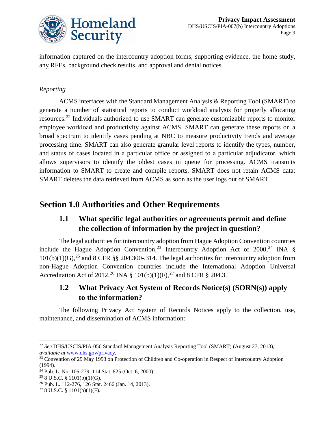

information captured on the intercountry adoption forms, supporting evidence, the home study, any RFEs, background check results, and approval and denial notices.

#### *Reporting*

ACMS interfaces with the Standard Management Analysis & Reporting Tool (SMART) to generate a number of statistical reports to conduct workload analysis for properly allocating resources.[22](#page-9-0) Individuals authorized to use SMART can generate customizable reports to monitor employee workload and productivity against ACMS. SMART can generate these reports on a broad spectrum to identify cases pending at NBC to measure productivity trends and average processing time. SMART can also generate granular level reports to identify the types, number, and status of cases located in a particular office or assigned to a particular adjudicator, which allows supervisors to identify the oldest cases in queue for processing. ACMS transmits information to SMART to create and compile reports. SMART does not retain ACMS data; SMART deletes the data retrieved from ACMS as soon as the user logs out of SMART.

# **Section 1.0 Authorities and Other Requirements**

# **1.1 What specific legal authorities or agreements permit and define the collection of information by the project in question?**

The legal authorities for intercountry adoption from Hague Adoption Convention countries include the Hague Adoption Convention,<sup>[23](#page-9-1)</sup> Intercountry Adoption Act of 2000,<sup>[24](#page-9-2)</sup> INA §  $101(b)(1)(G)$ ,<sup>[25](#page-9-3)</sup> and 8 CFR §§ 204.300-.314. The legal authorities for intercountry adoption from non-Hague Adoption Convention countries include the International Adoption Universal Accreditation Act of 2012,<sup>[26](#page-9-4)</sup> INA § 101(b)(1)(F),<sup>[27](#page-9-5)</sup> and 8 CFR § 204.3.

### **1.2 What Privacy Act System of Records Notice(s) (SORN(s)) apply to the information?**

The following Privacy Act System of Records Notices apply to the collection, use, maintenance, and dissemination of ACMS information:

<span id="page-9-0"></span> $\overline{a}$ <sup>22</sup> *See* DHS/USCIS/PIA-050 Standard Management Analysis Reporting Tool (SMART) (August 27, 2013), *available at* www.dhs.gov/privacy.<br><sup>23</sup> Convention of 29 May 1993 on Protection of Children and Co-operation in Respect of Intercountry Adoption

<span id="page-9-1"></span> $(1994)$ .

<span id="page-9-2"></span><sup>24</sup> Pub. L. No. 106-279, 114 Stat. 825 (Oct. 6, 2000).

<span id="page-9-3"></span> $258$  U.S.C. § 1101(b)(1)(G).

<span id="page-9-4"></span><sup>26</sup> Pub. L. 112-276, 126 Stat. 2466 (Jan. 14, 2013).

<span id="page-9-5"></span> $278$  U.S.C. § 1101(b)(1)(F).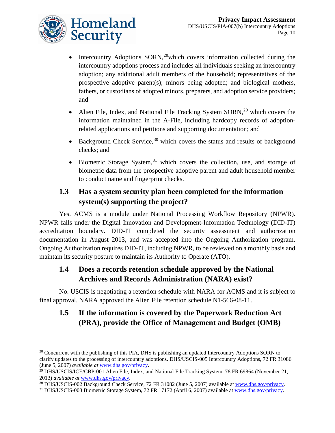

 $\overline{a}$ 

- Intercountry Adoptions SORN,<sup>[28](#page-10-0)</sup>which covers information collected during the intercountry adoptions process and includes all individuals seeking an intercountry adoption; any additional adult members of the household; representatives of the prospective adoptive parent(s); minors being adopted; and biological mothers, fathers, or custodians of adopted minors. preparers, and adoption service providers; and
- Alien File, Index, and National File Tracking System SORN,<sup>[29](#page-10-1)</sup> which covers the information maintained in the A-File, including hardcopy records of adoptionrelated applications and petitions and supporting documentation; and
- Background Check Service,<sup>[30](#page-10-2)</sup> which covers the status and results of background checks; and
- Biometric Storage System,<sup>[31](#page-10-3)</sup> which covers the collection, use, and storage of biometric data from the prospective adoptive parent and adult household member to conduct name and fingerprint checks.

# **1.3 Has a system security plan been completed for the information system(s) supporting the project?**

Yes. ACMS is a module under National Processing Workflow Repository (NPWR). NPWR falls under the Digital Innovation and Development-Information Technology (DID-IT) accreditation boundary. DID-IT completed the security assessment and authorization documentation in August 2013, and was accepted into the Ongoing Authorization program. Ongoing Authorization requires DID-IT, including NPWR, to be reviewed on a monthly basis and maintain its security posture to maintain its Authority to Operate (ATO).

## **1.4 Does a records retention schedule approved by the National Archives and Records Administration (NARA) exist?**

No. USCIS is negotiating a retention schedule with NARA for ACMS and it is subject to final approval. NARA approved the Alien File retention schedule N1-566-08-11.

# **1.5 If the information is covered by the Paperwork Reduction Act (PRA), provide the Office of Management and Budget (OMB)**

<span id="page-10-2"></span>2013) available at [www.dhs.gov/privacy.](http://www.dhs.gov/privacy)<br><sup>30</sup> DHS/USCIS-002 Background Check Service, 72 FR 31082 (June 5, 2007) available at [www.dhs.gov/privacy.](http://www.dhs.gov/privacy)<br><sup>31</sup> DHS/USCIS-003 Biometric Storage System, 72 FR 17172 (April 6, 2007) ava

<span id="page-10-0"></span><sup>&</sup>lt;sup>28</sup> Concurrent with the publishing of this PIA, DHS is publishing an updated Intercountry Adoptions SORN to clarify updates to the processing of intercountry adoptions. DHS/USCIS-005 Intercountry Adoptions, 72 FR 31086<br>(June 5, 2007) *available at www.dhs.gov/privacy*.

<span id="page-10-1"></span><sup>&</sup>lt;sup>29</sup> DHS/USCIS/ICE/CBP-001 Alien File, Index, and National File Tracking System, 78 FR 69864 (November 21,

<span id="page-10-3"></span>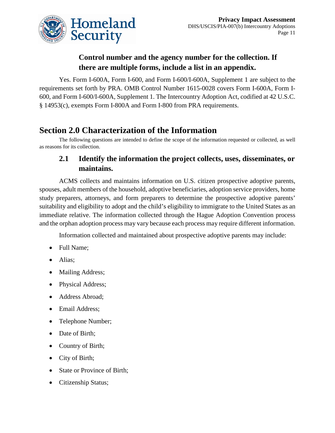

# **Control number and the agency number for the collection. If there are multiple forms, include a list in an appendix.**

Yes. Form I-600A, Form I-600, and Form I-600/I-600A, Supplement 1 are subject to the requirements set forth by PRA. OMB Control Number 1615-0028 covers Form I-600A, Form I-600, and Form I-600/I-600A, Supplement 1. The Intercountry Adoption Act, codified at 42 U.S.C. § 14953(c), exempts Form I-800A and Form I-800 from PRA requirements.

# **Section 2.0 Characterization of the Information**

The following questions are intended to define the scope of the information requested or collected, as well as reasons for its collection.

### **2.1 Identify the information the project collects, uses, disseminates, or maintains.**

ACMS collects and maintains information on U.S. citizen prospective adoptive parents, spouses, adult members of the household, adoptive beneficiaries, adoption service providers, home study preparers, attorneys, and form preparers to determine the prospective adoptive parents' suitability and eligibility to adopt and the child's eligibility to immigrate to the United States as an immediate relative. The information collected through the Hague Adoption Convention process and the orphan adoption process may vary because each process may require different information.

Information collected and maintained about prospective adoptive parents may include:

- Full Name;
- Alias;
- Mailing Address;
- Physical Address;
- Address Abroad;
- Email Address;
- Telephone Number;
- Date of Birth;
- Country of Birth;
- City of Birth;
- State or Province of Birth;
- Citizenship Status;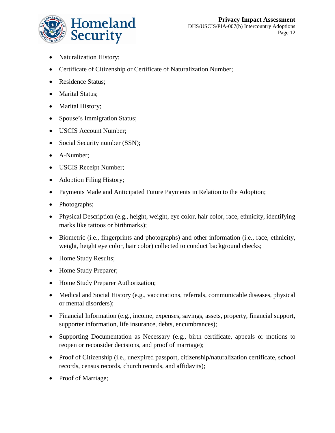

- Naturalization History;
- Certificate of Citizenship or Certificate of Naturalization Number;
- Residence Status;
- Marital Status;
- Marital History;
- Spouse's Immigration Status;
- USCIS Account Number;
- Social Security number (SSN);
- A-Number;
- USCIS Receipt Number;
- Adoption Filing History;
- Payments Made and Anticipated Future Payments in Relation to the Adoption;
- Photographs;
- Physical Description (e.g., height, weight, eye color, hair color, race, ethnicity, identifying marks like tattoos or birthmarks);
- Biometric (i.e., fingerprints and photographs) and other information (i.e., race, ethnicity, weight, height eye color, hair color) collected to conduct background checks;
- Home Study Results;
- Home Study Preparer;
- Home Study Preparer Authorization;
- Medical and Social History (e.g., vaccinations, referrals, communicable diseases, physical or mental disorders);
- Financial Information (e.g., income, expenses, savings, assets, property, financial support, supporter information, life insurance, debts, encumbrances);
- Supporting Documentation as Necessary (e.g., birth certificate, appeals or motions to reopen or reconsider decisions, and proof of marriage);
- Proof of Citizenship (i.e., unexpired passport, citizenship/naturalization certificate, school records, census records, church records, and affidavits);
- Proof of Marriage;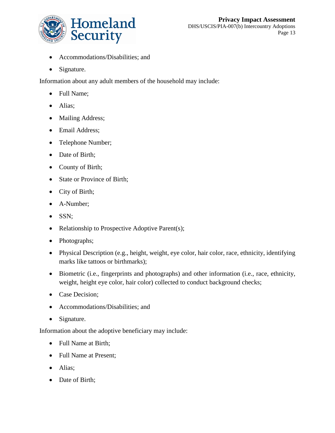

- $\bullet$ Accommodations/Disabilities; and
- Signature.

Information about any adult members of the household may include:

- Full Name;
- Alias;
- Mailing Address;
- Email Address;
- Telephone Number;
- Date of Birth;
- County of Birth;
- State or Province of Birth;
- City of Birth;
- A-Number;
- SSN;
- Relationship to Prospective Adoptive Parent(s);
- Photographs;
- Physical Description (e.g., height, weight, eye color, hair color, race, ethnicity, identifying marks like tattoos or birthmarks);
- Biometric (i.e., fingerprints and photographs) and other information (i.e., race, ethnicity, weight, height eye color, hair color) collected to conduct background checks;
- Case Decision;
- Accommodations/Disabilities; and
- Signature.

Information about the adoptive beneficiary may include:

- Full Name at Birth;
- Full Name at Present;
- Alias;
- Date of Birth;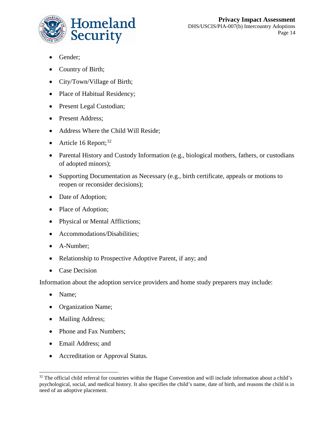

- Gender;
- Country of Birth;
- City/Town/Village of Birth;
- Place of Habitual Residency;
- Present Legal Custodian;
- Present Address;
- Address Where the Child Will Reside;
- Article 16 Report;<sup>[32](#page-14-0)</sup>
- Parental History and Custody Information (e.g., biological mothers, fathers, or custodians of adopted minors);
- Supporting Documentation as Necessary (e.g., birth certificate, appeals or motions to reopen or reconsider decisions);
- Date of Adoption;
- Place of Adoption;
- Physical or Mental Afflictions;
- Accommodations/Disabilities;
- A-Number;
- Relationship to Prospective Adoptive Parent, if any; and
- Case Decision

Information about the adoption service providers and home study preparers may include:

- Name;
- Organization Name;
- Mailing Address;
- Phone and Fax Numbers;
- Email Address; and
- $\bullet$ Accreditation or Approval Status.

<span id="page-14-0"></span> $\overline{a}$ <sup>32</sup> The official child referral for countries within the Hague Convention and will include information about a child's psychological, social, and medical history. It also specifies the child's name, date of birth, and reasons the child is in need of an adoptive placement.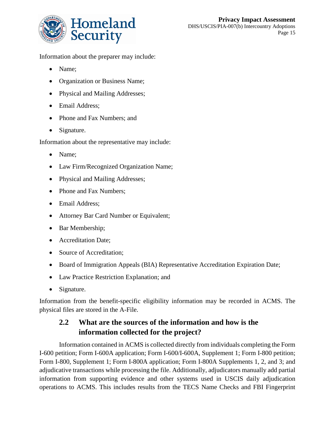

Information about the preparer may include:

- Name;
- Organization or Business Name;
- Physical and Mailing Addresses;
- Email Address;
- Phone and Fax Numbers; and
- Signature.

Information about the representative may include:

- Name;
- Law Firm/Recognized Organization Name;
- Physical and Mailing Addresses;
- Phone and Fax Numbers;
- Email Address;
- Attorney Bar Card Number or Equivalent;
- Bar Membership;
- Accreditation Date;
- Source of Accreditation;
- Board of Immigration Appeals (BIA) Representative Accreditation Expiration Date;
- Law Practice Restriction Explanation; and
- Signature.

Information from the benefit-specific eligibility information may be recorded in ACMS. The physical files are stored in the A-File.

## **2.2 What are the sources of the information and how is the information collected for the project?**

Information contained in ACMS is collected directly from individuals completing the Form I-600 petition; Form I-600A application; Form I-600/I-600A, Supplement 1; Form I-800 petition; Form I-800, Supplement 1; Form I-800A application; Form I-800A Supplements 1, 2, and 3; and adjudicative transactions while processing the file. Additionally, adjudicators manually add partial information from supporting evidence and other systems used in USCIS daily adjudication operations to ACMS. This includes results from the TECS Name Checks and FBI Fingerprint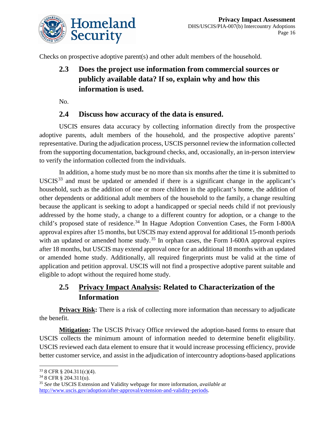

Checks on prospective adoptive parent(s) and other adult members of the household.

# **2.3 Does the project use information from commercial sources or publicly available data? If so, explain why and how this information is used.**

No.

### **2.4 Discuss how accuracy of the data is ensured.**

USCIS ensures data accuracy by collecting information directly from the prospective adoptive parents, adult members of the household, and the prospective adoptive parents' representative. During the adjudication process, USCIS personnel review the information collected from the supporting documentation, background checks, and, occasionally, an in-person interview to verify the information collected from the individuals.

In addition, a home study must be no more than six months after the time it is submitted to USCIS<sup>[33](#page-16-0)</sup> and must be updated or amended if there is a significant change in the applicant's household, such as the addition of one or more children in the applicant's home, the addition of other dependents or additional adult members of the household to the family, a change resulting because the applicant is seeking to adopt a handicapped or special needs child if not previously addressed by the home study, a change to a different country for adoption, or a change to the child's proposed state of residence.<sup>[34](#page-16-1)</sup> In Hague Adoption Convention Cases, the Form I-800A approval expires after 15 months, but USCIS may extend approval for additional 15-month periods with an updated or amended home study.<sup>[35](#page-16-2)</sup> In orphan cases, the Form I-600A approval expires after 18 months, but USCIS may extend approval once for an additional 18 months with an updated or amended home study. Additionally, all required fingerprints must be valid at the time of application and petition approval. USCIS will not find a prospective adoptive parent suitable and eligible to adopt without the required home study.

# **2.5 Privacy Impact Analysis: Related to Characterization of the Information**

**Privacy Risk:** There is a risk of collecting more information than necessary to adjudicate the benefit.

**Mitigation:** The USCIS Privacy Office reviewed the adoption-based forms to ensure that USCIS collects the minimum amount of information needed to determine benefit eligibility. USCIS reviewed each data element to ensure that it would increase processing efficiency, provide better customer service, and assist in the adjudication of intercountry adoptions-based applications

 $\overline{a}$ 

<sup>33</sup> 8 CFR § 204.311(c)(4).

<span id="page-16-1"></span><span id="page-16-0"></span><sup>34</sup> 8 CFR § 204.311(u).

<span id="page-16-2"></span><sup>35</sup> *See* the USCIS Extension and Validity webpage for more information, *available at* [http://www.uscis.gov/adoption/after-approval/extension-and-validity-periods.](http://www.uscis.gov/adoption/after-approval/extension-and-validity-periods)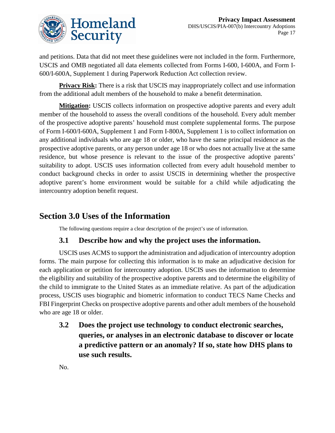

and petitions. Data that did not meet these guidelines were not included in the form. Furthermore, USCIS and OMB negotiated all data elements collected from Forms I-600, I-600A, and Form I-600/I-600A, Supplement 1 during Paperwork Reduction Act collection review.

**Privacy Risk:** There is a risk that USCIS may inappropriately collect and use information from the additional adult members of the household to make a benefit determination.

**Mitigation:** USCIS collects information on prospective adoptive parents and every adult member of the household to assess the overall conditions of the household. Every adult member of the prospective adoptive parents' household must complete supplemental forms. The purpose of Form I-600/I-600A, Supplement 1 and Form I-800A, Supplement 1 is to collect information on any additional individuals who are age 18 or older, who have the same principal residence as the prospective adoptive parents, or any person under age 18 or who does not actually live at the same residence, but whose presence is relevant to the issue of the prospective adoptive parents' suitability to adopt. USCIS uses information collected from every adult household member to conduct background checks in order to assist USCIS in determining whether the prospective adoptive parent's home environment would be suitable for a child while adjudicating the intercountry adoption benefit request.

# **Section 3.0 Uses of the Information**

The following questions require a clear description of the project's use of information.

### **3.1 Describe how and why the project uses the information.**

USCIS uses ACMS to support the administration and adjudication of intercountry adoption forms. The main purpose for collecting this information is to make an adjudicative decision for each application or petition for intercountry adoption. USCIS uses the information to determine the eligibility and suitability of the prospective adoptive parents and to determine the eligibility of the child to immigrate to the United States as an immediate relative. As part of the adjudication process, USCIS uses biographic and biometric information to conduct TECS Name Checks and FBI Fingerprint Checks on prospective adoptive parents and other adult members of the household who are age 18 or older.

**3.2 Does the project use technology to conduct electronic searches, queries, or analyses in an electronic database to discover or locate a predictive pattern or an anomaly? If so, state how DHS plans to use such results.**

No.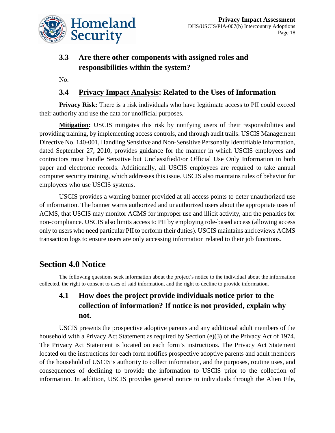

# **3.3 Are there other components with assigned roles and responsibilities within the system?**

No.

### **3.4 Privacy Impact Analysis: Related to the Uses of Information**

**Privacy Risk:** There is a risk individuals who have legitimate access to PII could exceed their authority and use the data for unofficial purposes.

**Mitigation:** USCIS mitigates this risk by notifying users of their responsibilities and providing training, by implementing access controls, and through audit trails. USCIS Management Directive No. 140-001, Handling Sensitive and Non-Sensitive Personally Identifiable Information, dated September 27, 2010, provides guidance for the manner in which USCIS employees and contractors must handle Sensitive but Unclassified/For Official Use Only Information in both paper and electronic records. Additionally, all USCIS employees are required to take annual computer security training, which addresses this issue. USCIS also maintains rules of behavior for employees who use USCIS systems.

USCIS provides a warning banner provided at all access points to deter unauthorized use of information. The banner warns authorized and unauthorized users about the appropriate uses of ACMS, that USCIS may monitor ACMS for improper use and illicit activity, and the penalties for non-compliance. USCIS also limits access to PII by employing role-based access (allowing access only to users who need particular PII to perform their duties). USCIS maintains and reviews ACMS transaction logs to ensure users are only accessing information related to their job functions.

# **Section 4.0 Notice**

The following questions seek information about the project's notice to the individual about the information collected, the right to consent to uses of said information, and the right to decline to provide information.

# **4.1 How does the project provide individuals notice prior to the collection of information? If notice is not provided, explain why not.**

USCIS presents the prospective adoptive parents and any additional adult members of the household with a Privacy Act Statement as required by Section (e)(3) of the Privacy Act of 1974. The Privacy Act Statement is located on each form's instructions. The Privacy Act Statement located on the instructions for each form notifies prospective adoptive parents and adult members of the household of USCIS's authority to collect information, and the purposes, routine uses, and consequences of declining to provide the information to USCIS prior to the collection of information. In addition, USCIS provides general notice to individuals through the Alien File,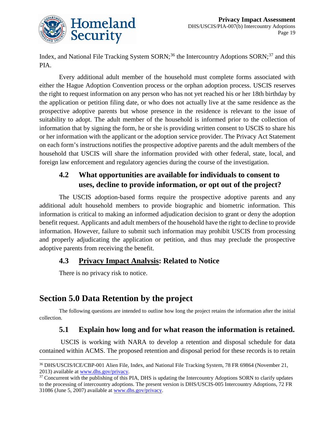

Index, and National File Tracking System SORN;<sup>[36](#page-19-0)</sup> the Intercountry Adoptions SORN;<sup>37</sup> and this PIA.

Every additional adult member of the household must complete forms associated with either the Hague Adoption Convention process or the orphan adoption process. USCIS reserves the right to request information on any person who has not yet reached his or her 18th birthday by the application or petition filing date, or who does not actually live at the same residence as the prospective adoptive parents but whose presence in the residence is relevant to the issue of suitability to adopt. The adult member of the household is informed prior to the collection of information that by signing the form, he or she is providing written consent to USCIS to share his or her information with the applicant or the adoption service provider. The Privacy Act Statement on each form's instructions notifies the prospective adoptive parents and the adult members of the household that USCIS will share the information provided with other federal, state, local, and foreign law enforcement and regulatory agencies during the course of the investigation.

## **4.2 What opportunities are available for individuals to consent to uses, decline to provide information, or opt out of the project?**

The USCIS adoption-based forms require the prospective adoptive parents and any additional adult household members to provide biographic and biometric information. This information is critical to making an informed adjudication decision to grant or deny the adoption benefit request. Applicants and adult members of the household have the right to decline to provide information. However, failure to submit such information may prohibit USCIS from processing and properly adjudicating the application or petition, and thus may preclude the prospective adoptive parents from receiving the benefit.

### **4.3 Privacy Impact Analysis: Related to Notice**

There is no privacy risk to notice.

# **Section 5.0 Data Retention by the project**

The following questions are intended to outline how long the project retains the information after the initial collection.

### **5.1 Explain how long and for what reason the information is retained.**

USCIS is working with NARA to develop a retention and disposal schedule for data contained within ACMS. The proposed retention and disposal period for these records is to retain

<span id="page-19-0"></span> $\overline{a}$ <sup>36</sup> DHS/USCIS/ICE/CBP-001 Alien File, Index, and National File Tracking System, 78 FR 69864 (November 21, 2013) available at <u>www.dhs.gov/privacy</u>.<br><sup>37</sup> Concurrent with the publishing of this PIA, DHS is updating the Intercountry Adoptions SORN to clarify updates

<span id="page-19-1"></span>to the processing of intercountry adoptions. The present version is DHS/USCIS-005 Intercountry Adoptions, 72 FR 31086 (June 5, 2007) available at [www.dhs.gov/privacy.](http://www.dhs.gov/privacy)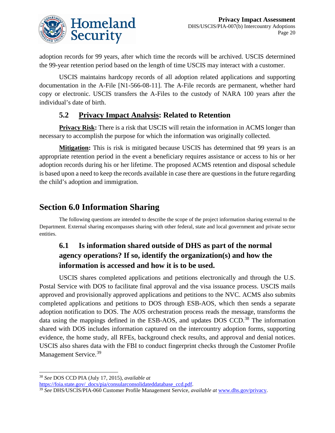

adoption records for 99 years, after which time the records will be archived. USCIS determined the 99-year retention period based on the length of time USCIS may interact with a customer.

USCIS maintains hardcopy records of all adoption related applications and supporting documentation in the A-File [N1-566-08-11]. The A-File records are permanent, whether hard copy or electronic. USCIS transfers the A-Files to the custody of NARA 100 years after the individual's date of birth.

### **5.2 Privacy Impact Analysis: Related to Retention**

**Privacy Risk:** There is a risk that USCIS will retain the information in ACMS longer than necessary to accomplish the purpose for which the information was originally collected.

**Mitigation:** This is risk is mitigated because USCIS has determined that 99 years is an appropriate retention period in the event a beneficiary requires assistance or access to his or her adoption records during his or her lifetime. The proposed ACMS retention and disposal schedule is based upon a need to keep the records available in case there are questions in the future regarding the child's adoption and immigration.

# **Section 6.0 Information Sharing**

The following questions are intended to describe the scope of the project information sharing external to the Department. External sharing encompasses sharing with other federal, state and local government and private sector entities.

# **6.1 Is information shared outside of DHS as part of the normal agency operations? If so, identify the organization(s) and how the information is accessed and how it is to be used.**

USCIS shares completed applications and petitions electronically and through the U.S. Postal Service with DOS to facilitate final approval and the visa issuance process. USCIS mails approved and provisionally approved applications and petitions to the NVC. ACMS also submits completed applications and petitions to DOS through ESB-AOS, which then sends a separate adoption notification to DOS. The AOS orchestration process reads the message, transforms the data using the mappings defined in the ESB-AOS, and updates DOS CCD.<sup>[38](#page-20-0)</sup> The information shared with DOS includes information captured on the intercountry adoption forms, supporting evidence, the home study, all RFEs, background check results, and approval and denial notices. USCIS also shares data with the FBI to conduct fingerprint checks through the Customer Profile Management Service.<sup>[39](#page-20-1)</sup>

 $\overline{a}$ 

<span id="page-20-0"></span><sup>38</sup> *See* DOS CCD PIA (July 17, 2015), *available at*

<span id="page-20-1"></span><sup>&</sup>lt;sup>[39](https://foia.state.gov/_docs/pia/consularconsolidateddatabase_ccd.pdf)</sup> See DHS/USCIS/PIA-060 Customer Profile Management Service, *available at* www.dhs.gov/privacy.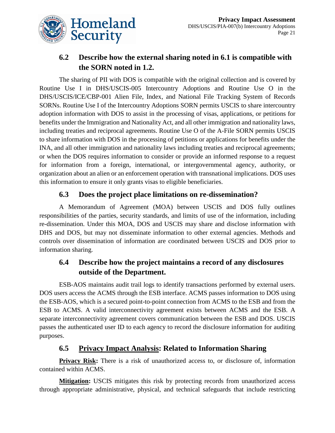

# **6.2 Describe how the external sharing noted in 6.1 is compatible with the SORN noted in 1.2.**

The sharing of PII with DOS is compatible with the original collection and is covered by Routine Use I in DHS/USCIS-005 Intercountry Adoptions and Routine Use O in the DHS/USCIS/ICE/CBP-001 Alien File, Index, and National File Tracking System of Records SORNs. Routine Use I of the Intercountry Adoptions SORN permits USCIS to share intercountry adoption information with DOS to assist in the processing of visas, applications, or petitions for benefits under the Immigration and Nationality Act, and all other immigration and nationality laws, including treaties and reciprocal agreements. Routine Use O of the A-File SORN permits USCIS to share information with DOS in the processing of petitions or applications for benefits under the INA, and all other immigration and nationality laws including treaties and reciprocal agreements; or when the DOS requires information to consider or provide an informed response to a request for information from a foreign, international, or intergovernmental agency, authority, or organization about an alien or an enforcement operation with transnational implications. DOS uses this information to ensure it only grants visas to eligible beneficiaries.

### **6.3 Does the project place limitations on re-dissemination?**

A Memorandum of Agreement (MOA) between USCIS and DOS fully outlines responsibilities of the parties, security standards, and limits of use of the information, including re-dissemination. Under this MOA, DOS and USCIS may share and disclose information with DHS and DOS, but may not disseminate information to other external agencies. Methods and controls over dissemination of information are coordinated between USCIS and DOS prior to information sharing.

### **6.4 Describe how the project maintains a record of any disclosures outside of the Department.**

ESB-AOS maintains audit trail logs to identify transactions performed by external users. DOS users access the ACMS through the ESB interface. ACMS passes information to DOS using the ESB-AOS, which is a secured point-to-point connection from ACMS to the ESB and from the ESB to ACMS. A valid interconnectivity agreement exists between ACMS and the ESB. A separate interconnectivity agreement covers communication between the ESB and DOS. USCIS passes the authenticated user ID to each agency to record the disclosure information for auditing purposes.

### **6.5 Privacy Impact Analysis: Related to Information Sharing**

**Privacy Risk:** There is a risk of unauthorized access to, or disclosure of, information contained within ACMS.

**Mitigation:** USCIS mitigates this risk by protecting records from unauthorized access through appropriate administrative, physical, and technical safeguards that include restricting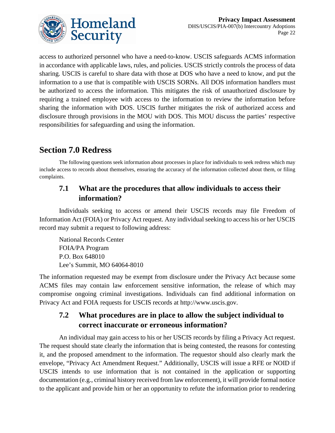

access to authorized personnel who have a need-to-know. USCIS safeguards ACMS information in accordance with applicable laws, rules, and policies. USCIS strictly controls the process of data sharing. USCIS is careful to share data with those at DOS who have a need to know, and put the information to a use that is compatible with USCIS SORNs. All DOS information handlers must be authorized to access the information. This mitigates the risk of unauthorized disclosure by requiring a trained employee with access to the information to review the information before sharing the information with DOS. USCIS further mitigates the risk of authorized access and disclosure through provisions in the MOU with DOS. This MOU discuss the parties' respective responsibilities for safeguarding and using the information.

# **Section 7.0 Redress**

The following questions seek information about processes in place for individuals to seek redress which may include access to records about themselves, ensuring the accuracy of the information collected about them, or filing complaints.

### **7.1 What are the procedures that allow individuals to access their information?**

Individuals seeking to access or amend their USCIS records may file Freedom of Information Act (FOIA) or Privacy Act request. Any individual seeking to access his or her USCIS record may submit a request to following address:

National Records Center FOIA/PA Program P.O. Box 648010 Lee's Summit, MO 64064-8010

The information requested may be exempt from disclosure under the Privacy Act because some ACMS files may contain law enforcement sensitive information, the release of which may compromise ongoing criminal investigations. Individuals can find additional information on Privacy Act and FOIA requests for USCIS records at http://www.uscis.gov.

## **7.2 What procedures are in place to allow the subject individual to correct inaccurate or erroneous information?**

An individual may gain access to his or her USCIS records by filing a Privacy Act request. The request should state clearly the information that is being contested, the reasons for contesting it, and the proposed amendment to the information. The requestor should also clearly mark the envelope, "Privacy Act Amendment Request." Additionally, USCIS will issue a RFE or NOID if USCIS intends to use information that is not contained in the application or supporting documentation (e.g., criminal history received from law enforcement), it will provide formal notice to the applicant and provide him or her an opportunity to refute the information prior to rendering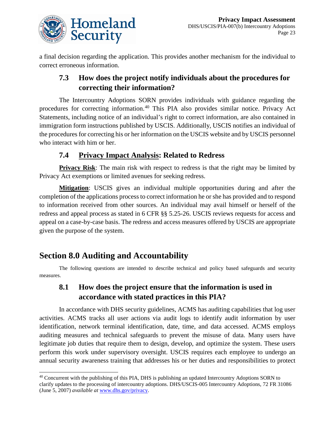

a final decision regarding the application. This provides another mechanism for the individual to correct erroneous information.

# **7.3 How does the project notify individuals about the procedures for correcting their information?**

The Intercountry Adoptions SORN provides individuals with guidance regarding the procedures for correcting information.<sup>[40](#page-23-0)</sup> This PIA also provides similar notice. Privacy Act Statements, including notice of an individual's right to correct information, are also contained in immigration form instructions published by USCIS. Additionally, USCIS notifies an individual of the procedures for correcting his or her information on the USCIS website and by USCIS personnel who interact with him or her.

## **7.4 Privacy Impact Analysis: Related to Redress**

**Privacy Risk:** The main risk with respect to redress is that the right may be limited by Privacy Act exemptions or limited avenues for seeking redress.

**Mitigation**: USCIS gives an individual multiple opportunities during and after the completion of the applications process to correct information he or she has provided and to respond to information received from other sources. An individual may avail himself or herself of the redress and appeal process as stated in 6 CFR §§ 5.25-26. USCIS reviews requests for access and appeal on a case-by-case basis. The redress and access measures offered by USCIS are appropriate given the purpose of the system.

# **Section 8.0 Auditing and Accountability**

The following questions are intended to describe technical and policy based safeguards and security measures.

# **8.1 How does the project ensure that the information is used in accordance with stated practices in this PIA?**

In accordance with DHS security guidelines, ACMS has auditing capabilities that log user activities. ACMS tracks all user actions via audit logs to identify audit information by user identification, network terminal identification, date, time, and data accessed. ACMS employs auditing measures and technical safeguards to prevent the misuse of data. Many users have legitimate job duties that require them to design, develop, and optimize the system. These users perform this work under supervisory oversight. USCIS requires each employee to undergo an annual security awareness training that addresses his or her duties and responsibilities to protect

<span id="page-23-0"></span> $\overline{a}$ <sup>40</sup> Concurrent with the publishing of this PIA, DHS is publishing an updated Intercountry Adoptions SORN to clarify updates to the processing of intercountry adoptions. DHS/USCIS-005 Intercountry Adoptions, 72 FR 31086 (June 5, 2007) *available at* [www.dhs.gov/privacy.](http://www.dhs.gov/privacy)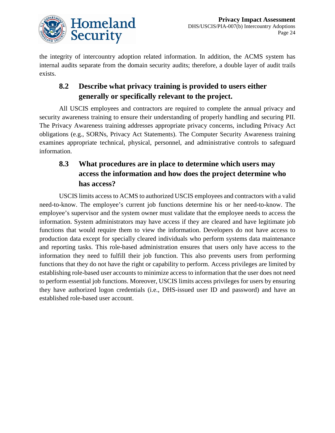

the integrity of intercountry adoption related information. In addition, the ACMS system has internal audits separate from the domain security audits; therefore, a double layer of audit trails exists.

# **8.2 Describe what privacy training is provided to users either generally or specifically relevant to the project.**

All USCIS employees and contractors are required to complete the annual privacy and security awareness training to ensure their understanding of properly handling and securing PII. The Privacy Awareness training addresses appropriate privacy concerns, including Privacy Act obligations (e.g., SORNs, Privacy Act Statements). The Computer Security Awareness training examines appropriate technical, physical, personnel, and administrative controls to safeguard information.

# **8.3 What procedures are in place to determine which users may access the information and how does the project determine who has access?**

USCIS limits access to ACMS to authorized USCIS employees and contractors with a valid need-to-know. The employee's current job functions determine his or her need-to-know. The employee's supervisor and the system owner must validate that the employee needs to access the information. System administrators may have access if they are cleared and have legitimate job functions that would require them to view the information. Developers do not have access to production data except for specially cleared individuals who perform systems data maintenance and reporting tasks. This role-based administration ensures that users only have access to the information they need to fulfill their job function. This also prevents users from performing functions that they do not have the right or capability to perform. Access privileges are limited by establishing role-based user accounts to minimize access to information that the user does not need to perform essential job functions. Moreover, USCIS limits access privileges for users by ensuring they have authorized logon credentials (i.e., DHS-issued user ID and password) and have an established role-based user account.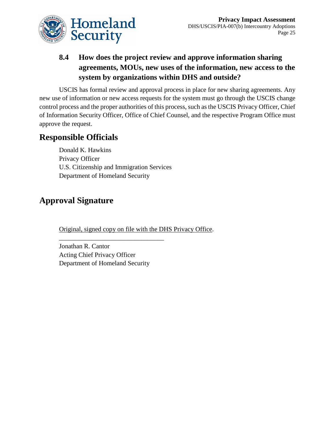

# **8.4 How does the project review and approve information sharing agreements, MOUs, new uses of the information, new access to the system by organizations within DHS and outside?**

USCIS has formal review and approval process in place for new sharing agreements. Any new use of information or new access requests for the system must go through the USCIS change control process and the proper authorities of this process, such as the USCIS Privacy Officer, Chief of Information Security Officer, Office of Chief Counsel, and the respective Program Office must approve the request.

# **Responsible Officials**

Donald K. Hawkins Privacy Officer U.S. Citizenship and Immigration Services Department of Homeland Security

# **Approval Signature**

Original, signed copy on file with the DHS Privacy Office.

Jonathan R. Cantor Acting Chief Privacy Officer Department of Homeland Security

\_\_\_\_\_\_\_\_\_\_\_\_\_\_\_\_\_\_\_\_\_\_\_\_\_\_\_\_\_\_\_\_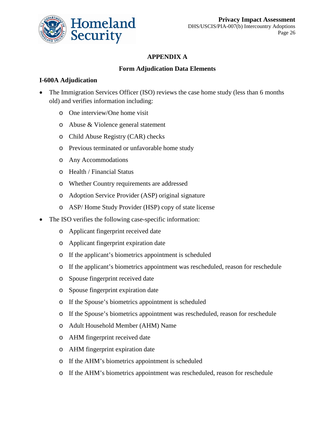

### **APPENDIX A**

#### **Form Adjudication Data Elements**

#### **I-600A Adjudication**

- The Immigration Services Officer (ISO) reviews the case home study (less than 6 months old) and verifies information including:
	- o One interview/One home visit
	- o Abuse & Violence general statement
	- o Child Abuse Registry (CAR) checks
	- o Previous terminated or unfavorable home study
	- o Any Accommodations
	- o Health / Financial Status
	- o Whether Country requirements are addressed
	- o Adoption Service Provider (ASP) original signature
	- o ASP/ Home Study Provider (HSP) copy of state license
- The ISO verifies the following case-specific information:
	- o Applicant fingerprint received date
	- o Applicant fingerprint expiration date
	- o If the applicant's biometrics appointment is scheduled
	- o If the applicant's biometrics appointment was rescheduled, reason for reschedule
	- o Spouse fingerprint received date
	- o Spouse fingerprint expiration date
	- o If the Spouse's biometrics appointment is scheduled
	- o If the Spouse's biometrics appointment was rescheduled, reason for reschedule
	- o Adult Household Member (AHM) Name
	- o AHM fingerprint received date
	- o AHM fingerprint expiration date
	- o If the AHM's biometrics appointment is scheduled
	- o If the AHM's biometrics appointment was rescheduled, reason for reschedule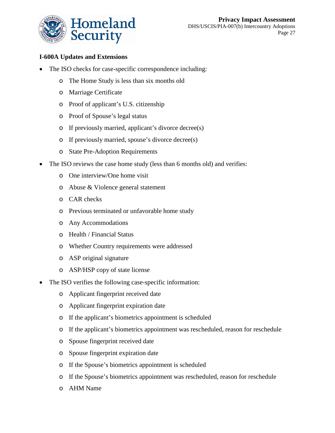

#### **I-600A Updates and Extensions**

- The ISO checks for case-specific correspondence including:
	- o The Home Study is less than six months old
	- o Marriage Certificate
	- o Proof of applicant's U.S. citizenship
	- o Proof of Spouse's legal status
	- o If previously married, applicant's divorce decree(s)
	- o If previously married, spouse's divorce decree(s)
	- o State Pre-Adoption Requirements
- The ISO reviews the case home study (less than 6 months old) and verifies:
	- o One interview/One home visit
	- o Abuse & Violence general statement
	- o CAR checks
	- o Previous terminated or unfavorable home study
	- o Any Accommodations
	- o Health / Financial Status
	- o Whether Country requirements were addressed
	- o ASP original signature
	- o ASP/HSP copy of state license
- The ISO verifies the following case-specific information:
	- o Applicant fingerprint received date
	- o Applicant fingerprint expiration date
	- o If the applicant's biometrics appointment is scheduled
	- o If the applicant's biometrics appointment was rescheduled, reason for reschedule
	- o Spouse fingerprint received date
	- o Spouse fingerprint expiration date
	- o If the Spouse's biometrics appointment is scheduled
	- o If the Spouse's biometrics appointment was rescheduled, reason for reschedule
	- o AHM Name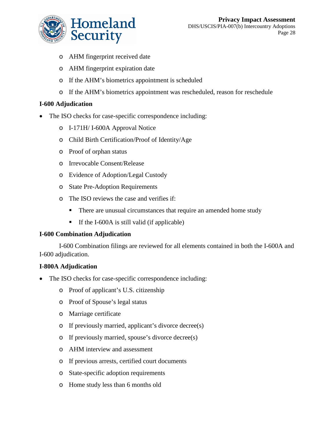

- o AHM fingerprint received date
- o AHM fingerprint expiration date
- o If the AHM's biometrics appointment is scheduled
- o If the AHM's biometrics appointment was rescheduled, reason for reschedule

#### **I-600 Adjudication**

- The ISO checks for case-specific correspondence including:
	- o I-171H/ I-600A Approval Notice
	- o Child Birth Certification/Proof of Identity/Age
	- o Proof of orphan status
	- o Irrevocable Consent/Release
	- o Evidence of Adoption/Legal Custody
	- o State Pre-Adoption Requirements
	- o The ISO reviews the case and verifies if:
		- $\blacksquare$ There are unusual circumstances that require an amended home study
		- $\blacksquare$ If the I-600A is still valid (if applicable)

#### **I-600 Combination Adjudication**

I-600 Combination filings are reviewed for all elements contained in both the I-600A and I-600 adjudication.

#### **I-800A Adjudication**

- The ISO checks for case-specific correspondence including:
	- o Proof of applicant's U.S. citizenship
	- o Proof of Spouse's legal status
	- o Marriage certificate
	- o If previously married, applicant's divorce decree(s)
	- o If previously married, spouse's divorce decree(s)
	- o AHM interview and assessment
	- o If previous arrests, certified court documents
	- o State-specific adoption requirements
	- o Home study less than 6 months old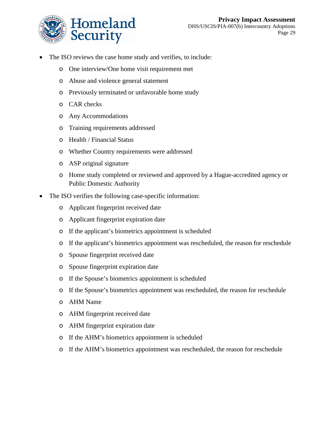

- The ISO reviews the case home study and verifies, to include:
	- o One interview/One home visit requirement met
	- o Abuse and violence general statement
	- o Previously terminated or unfavorable home study
	- o CAR checks
	- o Any Accommodations
	- o Training requirements addressed
	- o Health / Financial Status
	- o Whether Country requirements were addressed
	- o ASP original signature
	- o Home study completed or reviewed and approved by a Hague-accredited agency or Public Domestic Authority
- The ISO verifies the following case-specific information:
	- o Applicant fingerprint received date
	- o Applicant fingerprint expiration date
	- o If the applicant's biometrics appointment is scheduled
	- o If the applicant's biometrics appointment was rescheduled, the reason for reschedule
	- o Spouse fingerprint received date
	- o Spouse fingerprint expiration date
	- o If the Spouse's biometrics appointment is scheduled
	- o If the Spouse's biometrics appointment was rescheduled, the reason for reschedule
	- o AHM Name
	- o AHM fingerprint received date
	- o AHM fingerprint expiration date
	- o If the AHM's biometrics appointment is scheduled
	- o If the AHM's biometrics appointment was rescheduled, the reason for reschedule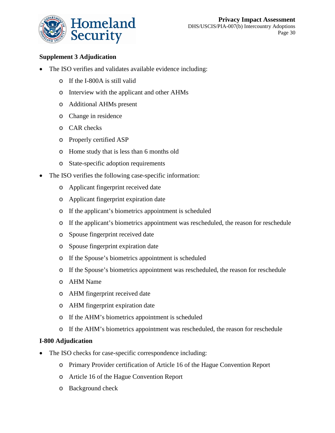

### **Supplement 3 Adjudication**

- The ISO verifies and validates available evidence including:
	- o If the I-800A is still valid
	- o Interview with the applicant and other AHMs
	- o Additional AHMs present
	- o Change in residence
	- o CAR checks
	- o Properly certified ASP
	- o Home study that is less than 6 months old
	- o State-specific adoption requirements
- The ISO verifies the following case-specific information:
	- o Applicant fingerprint received date
	- o Applicant fingerprint expiration date
	- o If the applicant's biometrics appointment is scheduled
	- o If the applicant's biometrics appointment was rescheduled, the reason for reschedule
	- o Spouse fingerprint received date
	- o Spouse fingerprint expiration date
	- o If the Spouse's biometrics appointment is scheduled
	- o If the Spouse's biometrics appointment was rescheduled, the reason for reschedule
	- o AHM Name
	- o AHM fingerprint received date
	- o AHM fingerprint expiration date
	- o If the AHM's biometrics appointment is scheduled
	- o If the AHM's biometrics appointment was rescheduled, the reason for reschedule

#### **I-800 Adjudication**

- The ISO checks for case-specific correspondence including:
	- o Primary Provider certification of Article 16 of the Hague Convention Report
	- o Article 16 of the Hague Convention Report
	- o Background check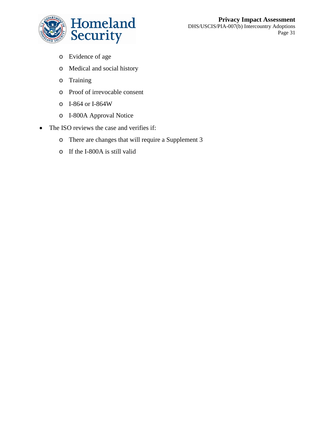

- o Evidence of age
- o Medical and social history
- o Training
- o Proof of irrevocable consent
- o I-864 or I-864W
- o I-800A Approval Notice
- The ISO reviews the case and verifies if:
	- o There are changes that will require a Supplement 3
	- o If the I-800A is still valid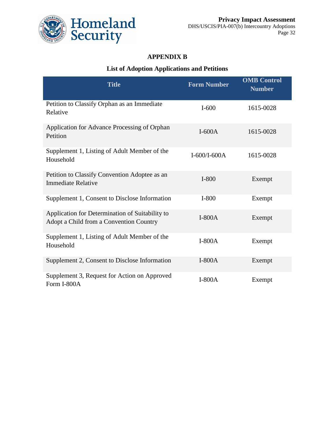

### **APPENDIX B**

### **List of Adoption Applications and Petitions**

| <b>Title</b>                                                                               | <b>Form Number</b> | <b>OMB Control</b><br><b>Number</b> |
|--------------------------------------------------------------------------------------------|--------------------|-------------------------------------|
| Petition to Classify Orphan as an Immediate<br>Relative                                    | $I-600$            | 1615-0028                           |
| Application for Advance Processing of Orphan<br>Petition                                   | $I-600A$           | 1615-0028                           |
| Supplement 1, Listing of Adult Member of the<br>Household                                  | I-600/I-600A       | 1615-0028                           |
| Petition to Classify Convention Adoptee as an<br><b>Immediate Relative</b>                 | $I-800$            | Exempt                              |
| Supplement 1, Consent to Disclose Information                                              | $I-800$            | Exempt                              |
| Application for Determination of Suitability to<br>Adopt a Child from a Convention Country | $I-800A$           | Exempt                              |
| Supplement 1, Listing of Adult Member of the<br>Household                                  | $I-800A$           | Exempt                              |
| Supplement 2, Consent to Disclose Information                                              | $I-800A$           | Exempt                              |
| Supplement 3, Request for Action on Approved<br>Form I-800A                                | $I-800A$           | Exempt                              |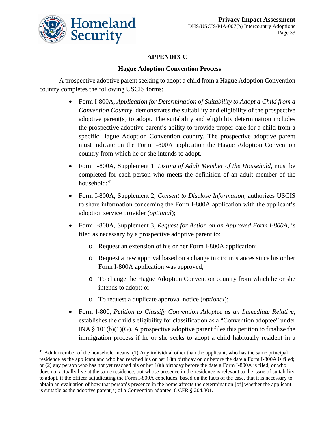

 $\overline{a}$ 

### **APPENDIX C**

### **Hague Adoption Convention Process**

A prospective adoptive parent seeking to adopt a child from a Hague Adoption Convention country completes the following USCIS forms:

- Form I-800A, *Application for Determination of Suitability to Adopt a Child from a Convention Country,* demonstrates the suitability and eligibility of the prospective adoptive parent(s) to adopt. The suitability and eligibility determination includes the prospective adoptive parent's ability to provide proper care for a child from a specific Hague Adoption Convention country. The prospective adoptive parent must indicate on the Form I-800A application the Hague Adoption Convention country from which he or she intends to adopt.
- Form I-800A, Supplement 1, *Listing of Adult Member of the Household*, must be completed for each person who meets the definition of an adult member of the household; $41$
- Form I-800A, Supplement 2, *Consent to Disclose Information*, authorizes USCIS to share information concerning the Form I-800A application with the applicant's adoption service provider (*optional*);
- Form I-800A, Supplement 3, *Request for Action on an Approved Form I-800A*, is filed as necessary by a prospective adoptive parent to:
	- o Request an extension of his or her Form I-800A application;
	- o Request a new approval based on a change in circumstances since his or her Form I-800A application was approved;
	- o To change the Hague Adoption Convention country from which he or she intends to adopt; or
	- o To request a duplicate approval notice (*optional*);
- Form I-800, *Petition to Classify Convention Adoptee as an Immediate Relative*, establishes the child's eligibility for classification as a "Convention adoptee" under INA  $\S$  101(b)(1)(G). A prospective adoptive parent files this petition to finalize the immigration process if he or she seeks to adopt a child habitually resident in a

<span id="page-33-0"></span><sup>&</sup>lt;sup>41</sup> Adult member of the household means: (1) Any individual other than the applicant, who has the same principal residence as the applicant and who had reached his or her 18th birthday on or before the date a Form I-800A is filed; or (2) any person who has not yet reached his or her 18th birthday before the date a Form I-800A is filed, or who does not actually live at the same residence, but whose presence in the residence is relevant to the issue of suitability to adopt, if the officer adjudicating the Form I-800A concludes, based on the facts of the case, that it is necessary to obtain an evaluation of how that person's presence in the home affects the determination [of] whether the applicant is suitable as the adoptive parent(s) of a Convention adoptee. 8 CFR § 204.301.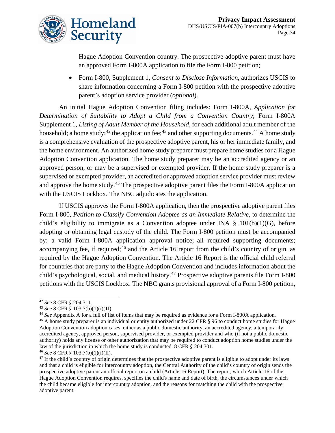

Hague Adoption Convention country. The prospective adoptive parent must have an approved Form I-800A application to file the Form I-800 petition;

• Form I-800, Supplement 1, *Consent to Disclose Information*, authorizes USCIS to share information concerning a Form I-800 petition with the prospective adoptive parent's adoption service provider (*optional*).

An initial Hague Adoption Convention filing includes: Form I-800A, *Application for Determination of Suitability to Adopt a Child from a Convention Country*; Form I-800A Supplement 1, *Listing of Adult Member of the Household*, for each additional adult member of the household; a home study;<sup>[42](#page-34-0)</sup> the application fee;<sup>[43](#page-34-1)</sup> and other supporting documents.<sup>[44](#page-34-2)</sup> A home study is a comprehensive evaluation of the prospective adoptive parent, his or her immediate family, and the home environment. An authorized home study preparer must prepare home studies for a Hague Adoption Convention application. The home study preparer may be an accredited agency or an approved person, or may be a supervised or exempted provider. If the home study preparer is a supervised or exempted provider, an accredited or approved adoption service provider must review and approve the home study.<sup>45</sup> The prospective adoptive parent files the Form I-800A application with the USCIS Lockbox. The NBC adjudicates the application.

If USCIS approves the Form I-800A application, then the prospective adoptive parent files Form I-800, *Petition to Classify Convention Adoptee as an Immediate Relative*, to determine the child's eligibility to immigrate as a Convention adoptee under INA  $\S$  101(b)(1)(G), before adopting or obtaining legal custody of the child. The Form I-800 petition must be accompanied by: a valid Form I-800A application approval notice; all required supporting documents; accompanying fee, if required; $46$  and the Article 16 report from the child's country of origin, as required by the Hague Adoption Convention. The Article 16 Report is the official child referral for countries that are party to the Hague Adoption Convention and includes information about the child's psychological, social, and medical history.<sup>[47](#page-34-5)</sup> Prospective adoptive parents file Form I-800 petitions with the USCIS Lockbox. The NBC grants provisional approval of a Form I-800 petition,

 $\overline{a}$ 

<sup>42</sup> *See* 8 CFR § 204.311.

<span id="page-34-1"></span><span id="page-34-0"></span><sup>43</sup> *See* 8 CFR § 103.7(b)(1)(i)(JJ).

<span id="page-34-2"></span><sup>44</sup> *See* Appendix A for a full of list of items that may be required as evidence for a Form I-800A application.

<span id="page-34-3"></span><sup>&</sup>lt;sup>45</sup> A home study preparer is an individual or entity authorized under 22 CFR § 96 to conduct home studies for Hague Adoption Convention adoption cases, either as a public domestic authority, an accredited agency, a temporarily accredited agency, approved person, supervised provider, or exempted provider and who (if not a public domestic authority) holds any license or other authorization that may be required to conduct adoption home studies under the law of the jurisdiction in which the home study is conducted. 8 CFR § 204.301.

<span id="page-34-4"></span><sup>46</sup> *See* 8 CFR § 103.7(b)(1)(i)(II).

<span id="page-34-5"></span> $47$  If the child's country of origin determines that the prospective adoptive parent is eligible to adopt under its laws and that a child is eligible for intercountry adoption, the Central Authority of the child's country of origin sends the prospective adoptive parent an official report on a child (Article 16 Report). The report, which Article 16 of the Hague Adoption Convention requires, specifies the child's name and date of birth, the circumstances under which the child became eligible for intercountry adoption, and the reasons for matching the child with the prospective adoptive parent.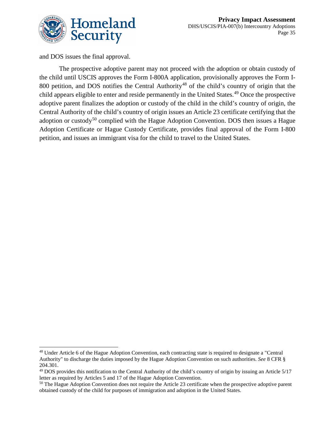

and DOS issues the final approval.

 $\overline{a}$ 

The prospective adoptive parent may not proceed with the adoption or obtain custody of the child until USCIS approves the Form I-800A application, provisionally approves the Form I-800 petition, and DOS notifies the Central Authority<sup>[48](#page-35-0)</sup> of the child's country of origin that the child appears eligible to enter and reside permanently in the United States.<sup>[49](#page-35-1)</sup> Once the prospective adoptive parent finalizes the adoption or custody of the child in the child's country of origin, the Central Authority of the child's country of origin issues an Article 23 certificate certifying that the adoption or custody<sup>[50](#page-35-2)</sup> complied with the Hague Adoption Convention. DOS then issues a Hague Adoption Certificate or Hague Custody Certificate, provides final approval of the Form I-800 petition, and issues an immigrant visa for the child to travel to the United States.

<span id="page-35-0"></span><sup>48</sup> Under Article 6 of the Hague Adoption Convention, each contracting state is required to designate a "Central Authority" to discharge the duties imposed by the Hague Adoption Convention on such authorities. *See* 8 CFR § 204.301.

<span id="page-35-1"></span><sup>49</sup> DOS provides this notification to the Central Authority of the child's country of origin by issuing an Article 5/17 letter as required by Articles 5 and 17 of the Hague Adoption Convention.

<span id="page-35-2"></span><sup>&</sup>lt;sup>50</sup> The Hague Adoption Convention does not require the Article 23 certificate when the prospective adoptive parent obtained custody of the child for purposes of immigration and adoption in the United States.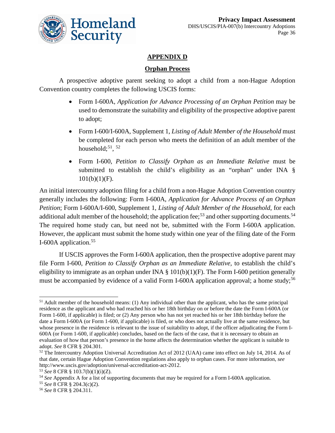

### **APPENDIX D**

#### **Orphan Process**

A prospective adoptive parent seeking to adopt a child from a non-Hague Adoption Convention country completes the following USCIS forms:

- Form I-600A, *Application for Advance Processing of an Orphan Petition* may be used to demonstrate the suitability and eligibility of the prospective adoptive parent to adopt;
- Form I-600/I-600A, Supplement 1, *Listing of Adult Member of the Household* must be completed for each person who meets the definition of an adult member of the household; $51, 52$  $51, 52$  $51, 52$
- Form I-600, *Petition to Classify Orphan as an Immediate Relative* must be submitted to establish the child's eligibility as an "orphan" under INA §  $101(b)(1)(F)$ .

An initial intercountry adoption filing for a child from a non-Hague Adoption Convention country generally includes the following: Form I-600A, *Application for Advance Process of an Orphan Petition*; Form I-600A/I-600, Supplement 1, *Listing of Adult Member of the Household*, for each additional adult member of the household; the application fee;<sup>[53](#page-36-2)</sup> and other supporting documents.<sup>[54](#page-36-3)</sup> The required home study can, but need not be, submitted with the Form I-600A application. However, the applicant must submit the home study within one year of the filing date of the Form I-600A application.<sup>[55](#page-36-4)</sup>

If USCIS approves the Form I-600A application, then the prospective adoptive parent may file Form I-600, *Petition to Classify Orphan as an Immediate Relative,* to establish the child's eligibility to immigrate as an orphan under INA  $\S$  101(b)(1)(F). The Form I-600 petition generally must be accompanied by evidence of a valid Form I-600A application approval; a home study;<sup>[56](#page-36-5)</sup>

<span id="page-36-0"></span> $\overline{a}$  $<sup>51</sup>$  Adult member of the household means: (1) Any individual other than the applicant, who has the same principal</sup> residence as the applicant and who had reached his or her 18th birthday on or before the date the Form I-600A (or Form 1-600, if applicable) is filed; or (2) Any person who has not yet reached his or her 18th birthday before the date a Form I-600A (or Form 1-600, if applicable) is filed, or who does not actually live at the same residence, but whose presence in the residence is relevant to the issue of suitability to adopt, if the officer adjudicating the Form I-600A (or Form 1-600, if applicable) concludes, based on the facts of the case, that it is necessary to obtain an evaluation of how that person's presence in the home affects the determination whether the applicant is suitable to adopt. *See* 8 CFR § 204.301.

<span id="page-36-1"></span><sup>&</sup>lt;sup>52</sup> The Intercountry Adoption Universal Accreditation Act of 2012 (UAA) came into effect on July 14, 2014. As of that date, certain Hague Adoption Convention regulations also apply to orphan cases. For more information, *see* http://www.uscis.gov/adoption/universal-accreditation-act-2012.

<span id="page-36-2"></span><sup>53</sup> *See* 8 CFR § 103.7(b)(1)(i)(Z).

<span id="page-36-3"></span><sup>54</sup> *See* Appendix A for a list of supporting documents that may be required for a Form I-600A application.

<span id="page-36-4"></span><sup>55</sup> *See* 8 CFR § 204.3(c)(2).

<span id="page-36-5"></span><sup>56</sup> *See* 8 CFR § 204.311.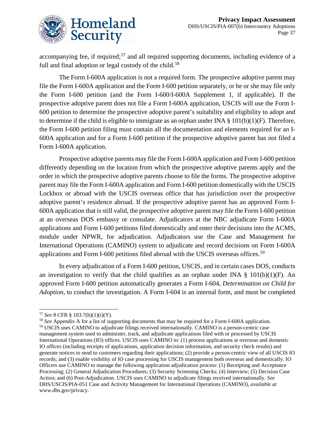

accompanying fee, if required;<sup>[57](#page-37-0)</sup> and all required supporting documents, including evidence of a full and final adoption or legal custody of the child.<sup>[58](#page-37-1)</sup>

The Form I-600A application is not a required form. The prospective adoptive parent may file the Form I-600A application and the Form I-600 petition separately, or he or she may file only the Form I-600 petition (and the Form I-600/I-600A Supplement 1, if applicable). If the prospective adoptive parent does not file a Form I-600A application, USCIS will use the Form I-600 petition to determine the prospective adoptive parent's suitability and eligibility to adopt and to determine if the child is eligible to immigrate as an orphan under INA  $\S$  101(b)(1)(F). Therefore, the Form I-600 petition filing must contain all the documentation and elements required for an I-600A application and for a Form I-600 petition if the prospective adoptive parent has not filed a Form I-600A application.

Prospective adoptive parents may file the Form I-600A application and Form I-600 petition differently depending on the location from which the prospective adoptive parents apply and the order in which the prospective adoptive parents choose to file the forms. The prospective adoptive parent may file the Form I-600A application and Form I-600 petition domestically with the USCIS Lockbox or abroad with the USCIS overseas office that has jurisdiction over the prospective adoptive parent's residence abroad. If the prospective adoptive parent has an approved Form I-600A application that is still valid, the prospective adoptive parent may file the Form I-600 petition at an overseas DOS embassy or consulate. Adjudicators at the NBC adjudicate Form I-600A applications and Form I-600 petitions filed domestically and enter their decisions into the ACMS, module under NPWR, for adjudication. Adjudicators use the Case and Management for International Operations (CAMINO) system to adjudicate and record decisions on Form I-600A applications and Form I-600 petitions filed abroad with the USCIS overseas offices.<sup>[59](#page-37-2)</sup>

In every adjudication of a Form I-600 petition, USCIS, and in certain cases DOS, conducts an investigation to verify that the child qualifies as an orphan under INA  $\S$  101(b)(1)(F). An approved Form I-600 petition automatically generates a Form I-604, *Determination on Child for Adoption*, to conduct the investigation. A Form I-604 is an internal form, and must be completed

 $\overline{a}$ 

<span id="page-37-1"></span><sup>58</sup> *See* Appendix A for a list of supporting documents that may be required for a Form I-600A application.

<span id="page-37-0"></span><sup>57</sup> *See* 8 CFR § 103.7(b)(1)(i)(Y).

<span id="page-37-2"></span><sup>59</sup> USCIS uses CAMINO to adjudicate filings received internationally. CAMINO is a person-centric case management system used to administer, track, and adjudicate applications filed with or processed by USCIS International Operations (IO) offices. USCIS uses CAMINO to: (1) process applications at overseas and domestic IO offices (including receipts of applications, application decision information, and security check results) and generate notices to send to customers regarding their applications; (2) provide a person-centric view of all USCIS IO records; and (3) enable visibility of IO case processing for USCIS management both overseas and domestically. IO Officers use CAMINO to manage the following application adjudication process: (1) Receipting and Acceptance Processing; (2) General Adjudication Procedures; (3) Security Screening Checks; (4) Interview; (5) Decision Case Action; and (6) Post-Adjudication. USCIS uses CAMINO to adjudicate filings received internationally. *See*  DHS/USCIS/PIA-051 Case and Activity Management for International Operations (CAMINO), *available at*  [www.dhs.gov/privacy.](www.dhs.gov/privacy)